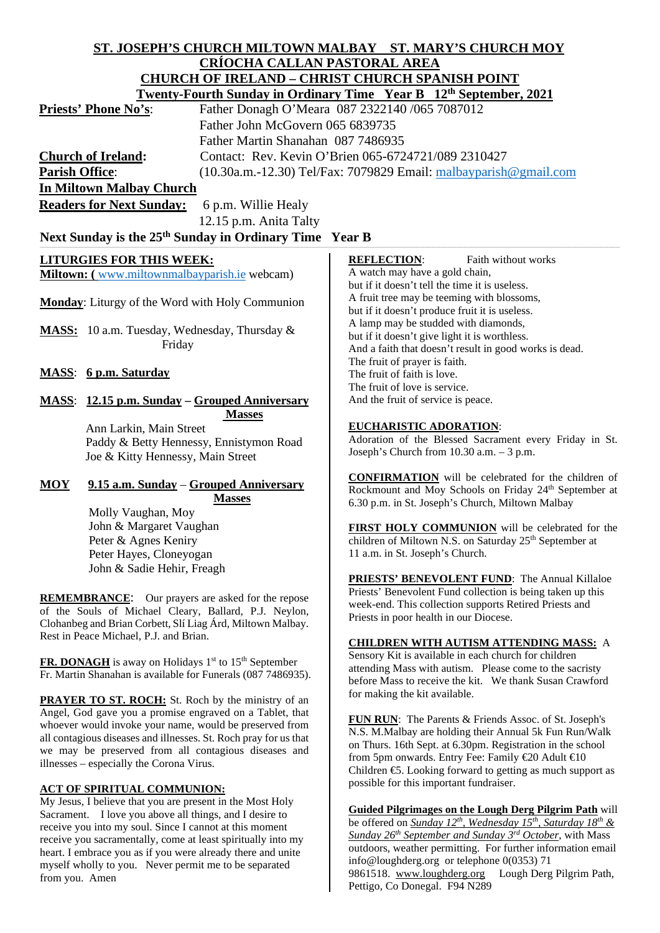# **ST. JOSEPH'S CHURCH MILTOWN MALBAY ST. MARY'S CHURCH MOY CRÍOCHA CALLAN PASTORAL AREA CHURCH OF IRELAND – CHRIST CHURCH SPANISH POINT**

| Twenty-Fourth Sunday in Ordinary Time Year B 12 <sup>th</sup> September, 2021 |                                                                     |
|-------------------------------------------------------------------------------|---------------------------------------------------------------------|
| <b>Priests' Phone No's:</b>                                                   | Father Donagh O'Meara 087 2322140 /065 7087012                      |
|                                                                               | Father John McGovern 065 6839735                                    |
|                                                                               | Father Martin Shanahan 087 7486935                                  |
| <b>Church of Ireland:</b>                                                     | Contact: Rev. Kevin O'Brien 065-6724721/089 2310427                 |
| <b>Parish Office:</b>                                                         | $(10.30a.m.-12.30)$ Tel/Fax: 7079829 Email: malbayparish @gmail.com |
| <b>In Miltown Malbay Church</b>                                               |                                                                     |
|                                                                               |                                                                     |

**Readers for Next Sunday:** 6 p.m. Willie Healy

12.15 p.m. Anita Talty

# Next Sunday is the 25<sup>th</sup> Sunday in Ordinary Time Year B

# **LITURGIES FOR THIS WEEK:**

**Miltown: (** [www.miltownmalbayparish.ie](http://www.miltownmalbayparish.ie/) webcam)

**Monday**: Liturgy of the Word with Holy Communion

**MASS:** 10 a.m. Tuesday, Wednesday, Thursday & Friday

# **MASS**: **6 p.m. Saturday**

**MASS**: **12.15 p.m. Sunday – Grouped Anniversary Masses**

 Ann Larkin, Main Street Paddy & Betty Hennessy, Ennistymon Road Joe & Kitty Hennessy, Main Street

### **MOY 9.15 a.m. Sunday** – **Grouped Anniversary Masses**

 Molly Vaughan, Moy John & Margaret Vaughan Peter & Agnes Keniry Peter Hayes, Cloneyogan John & Sadie Hehir, Freagh

**REMEMBRANCE**: Our prayers are asked for the repose of the Souls of Michael Cleary, Ballard, P.J. Neylon, Clohanbeg and Brian Corbett, Slí Liag Árd, Miltown Malbay. Rest in Peace Michael, P.J. and Brian.

**FR. DONAGH** is away on Holidays 1<sup>st</sup> to 15<sup>th</sup> September Fr. Martin Shanahan is available for Funerals (087 7486935).

**PRAYER TO ST. ROCH:** St. Roch by the ministry of an Angel, God gave you a promise engraved on a Tablet, that whoever would invoke your name, would be preserved from all contagious diseases and illnesses. St. Roch pray for us that we may be preserved from all contagious diseases and illnesses – especially the Corona Virus.

## **ACT OF SPIRITUAL COMMUNION:**

My Jesus, I believe that you are present in the Most Holy Sacrament. I love you above all things, and I desire to receive you into my soul. Since I cannot at this moment receive you sacramentally, come at least spiritually into my heart. I embrace you as if you were already there and unite myself wholly to you. Never permit me to be separated from you. Amen

#### **REFLECTION:** Faith without works A watch may have a gold chain, but if it doesn't tell the time it is useless. A fruit tree may be teeming with blossoms, but if it doesn't produce fruit it is useless. A lamp may be studded with diamonds, but if it doesn't give light it is worthless. And a faith that doesn't result in good works is dead. The fruit of prayer is faith. The fruit of faith is love. The fruit of love is service. And the fruit of service is peace.

### **EUCHARISTIC ADORATION**:

Adoration of the Blessed Sacrament every Friday in St. Joseph's Church from 10.30 a.m. – 3 p.m.

**CONFIRMATION** will be celebrated for the children of Rockmount and Moy Schools on Friday 24<sup>th</sup> September at 6.30 p.m. in St. Joseph's Church, Miltown Malbay

**FIRST HOLY COMMUNION** will be celebrated for the children of Miltown N.S. on Saturday 25<sup>th</sup> September at 11 a.m. in St. Joseph's Church.

**PRIESTS' BENEVOLENT FUND**: The Annual Killaloe Priests' Benevolent Fund collection is being taken up this week-end. This collection supports Retired Priests and Priests in poor health in our Diocese.

#### **CHILDREN WITH AUTISM ATTENDING MASS:** A Sensory Kit is available in each church for children

attending Mass with autism. Please come to the sacristy before Mass to receive the kit. We thank Susan Crawford for making the kit available.

**FUN RUN**: The Parents & Friends Assoc. of St. Joseph's N.S. M.Malbay are holding their Annual 5k Fun Run/Walk on Thurs. 16th Sept. at 6.30pm. Registration in the school from 5pm onwards. Entry Fee: Family €20 Adult €10 Children €5. Looking forward to getting as much support as possible for this important fundraiser.

**Guided Pilgrimages on the Lough Derg Pilgrim Path** will be offered on *Sunday 12th, Wednesday 15th, Saturday 18th & Sunday 26th September and Sunday 3rd October*, with Mass outdoors, weather permitting. For further information email info@loughderg.org or telephone 0(0353) 71 9861518. [www.loughderg.org](http://www.loughderg.org/) Lough Derg Pilgrim Path*,*  Pettigo, Co Donegal. F94 N289